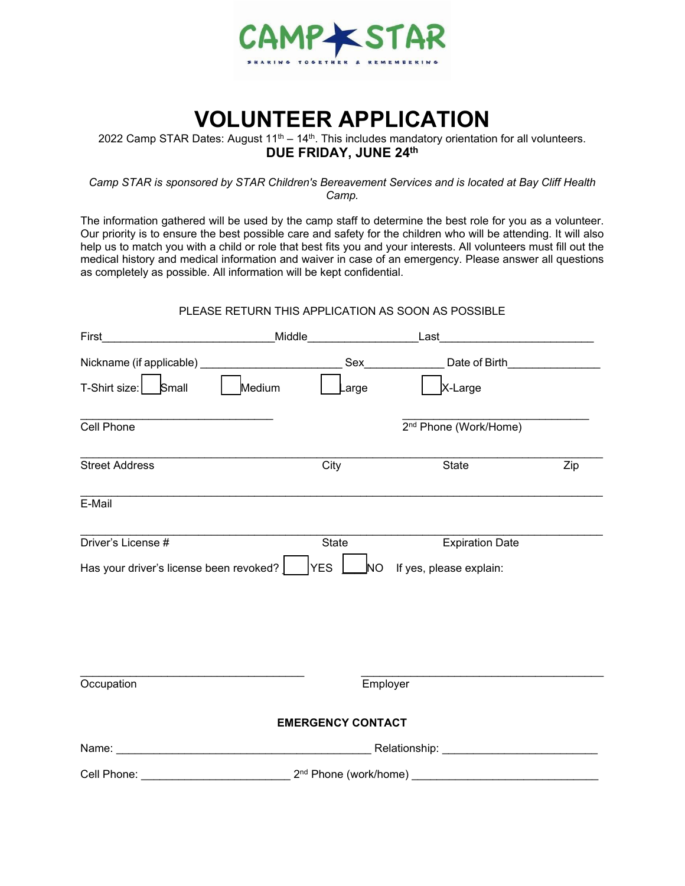

## **VOLUNTEER APPLICATION**

2022 Camp STAR Dates: August 11<sup>th</sup> – 14<sup>th</sup>. This includes mandatory orientation for all volunteers. **DUE FRIDAY, JUNE 24 th**

*Camp STAR is sponsored by STAR Children's Bereavement Services and is located at Bay Cliff Health Camp.* 

The information gathered will be used by the camp staff to determine the best role for you as a volunteer. Our priority is to ensure the best possible care and safety for the children who will be attending. It will also help us to match you with a child or role that best fits you and your interests. All volunteers must fill out the medical history and medical information and waiver in case of an emergency. Please answer all questions as completely as possible. All information will be kept confidential.

#### PLEASE RETURN THIS APPLICATION AS SOON AS POSSIBLE

| First                                   | _Middle_                 | Last                              |     |
|-----------------------------------------|--------------------------|-----------------------------------|-----|
|                                         | Sex                      | Date of Birth_________________    |     |
| T-Shirt size:<br>Small                  | Medium<br>arge           | X-Large                           |     |
| Cell Phone                              |                          | 2 <sup>nd</sup> Phone (Work/Home) |     |
| <b>Street Address</b>                   | City                     | State                             | Zip |
| E-Mail                                  |                          |                                   |     |
| Driver's License #                      | State                    | <b>Expiration Date</b>            |     |
| Has your driver's license been revoked? | <b>YES</b><br><b>NO</b>  | If yes, please explain:           |     |
| Occupation                              |                          | Employer                          |     |
|                                         | <b>EMERGENCY CONTACT</b> |                                   |     |
|                                         |                          |                                   |     |
|                                         |                          |                                   |     |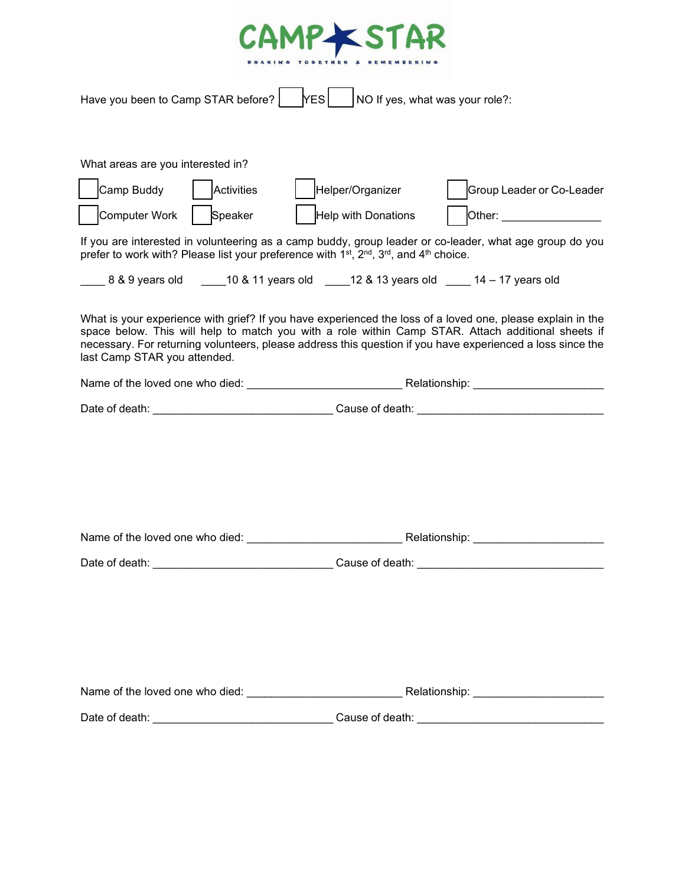

| Have you been to Camp STAR before?<br>NO If yes, what was your role?:<br><b>YES</b>                                                                                                                                                                                                                                                                                                                                                                                                                                                                                                                                                                                                                                                                                                                                                                                                                                              |  |  |  |  |  |
|----------------------------------------------------------------------------------------------------------------------------------------------------------------------------------------------------------------------------------------------------------------------------------------------------------------------------------------------------------------------------------------------------------------------------------------------------------------------------------------------------------------------------------------------------------------------------------------------------------------------------------------------------------------------------------------------------------------------------------------------------------------------------------------------------------------------------------------------------------------------------------------------------------------------------------|--|--|--|--|--|
| What areas are you interested in?<br>Camp Buddy<br>Activities<br>Helper/Organizer<br>Group Leader or Co-Leader<br><b>Computer Work</b><br>Speaker<br>Help with Donations<br>Other: __________________<br>If you are interested in volunteering as a camp buddy, group leader or co-leader, what age group do you<br>prefer to work with? Please list your preference with 1 <sup>st</sup> , 2 <sup>nd</sup> , 3 <sup>rd</sup> , and 4 <sup>th</sup> choice.<br>_____ 8 & 9 years old   _____10 & 11 years old   ____12 & 13 years old   ____ 14 - 17 years old<br>What is your experience with grief? If you have experienced the loss of a loved one, please explain in the<br>space below. This will help to match you with a role within Camp STAR. Attach additional sheets if<br>necessary. For returning volunteers, please address this question if you have experienced a loss since the<br>last Camp STAR you attended. |  |  |  |  |  |
|                                                                                                                                                                                                                                                                                                                                                                                                                                                                                                                                                                                                                                                                                                                                                                                                                                                                                                                                  |  |  |  |  |  |
|                                                                                                                                                                                                                                                                                                                                                                                                                                                                                                                                                                                                                                                                                                                                                                                                                                                                                                                                  |  |  |  |  |  |
|                                                                                                                                                                                                                                                                                                                                                                                                                                                                                                                                                                                                                                                                                                                                                                                                                                                                                                                                  |  |  |  |  |  |
| Name of the loved one who died: Name of the loved one who died:                                                                                                                                                                                                                                                                                                                                                                                                                                                                                                                                                                                                                                                                                                                                                                                                                                                                  |  |  |  |  |  |
| Date of death:<br>Cause of death: the cause of death:                                                                                                                                                                                                                                                                                                                                                                                                                                                                                                                                                                                                                                                                                                                                                                                                                                                                            |  |  |  |  |  |
|                                                                                                                                                                                                                                                                                                                                                                                                                                                                                                                                                                                                                                                                                                                                                                                                                                                                                                                                  |  |  |  |  |  |
|                                                                                                                                                                                                                                                                                                                                                                                                                                                                                                                                                                                                                                                                                                                                                                                                                                                                                                                                  |  |  |  |  |  |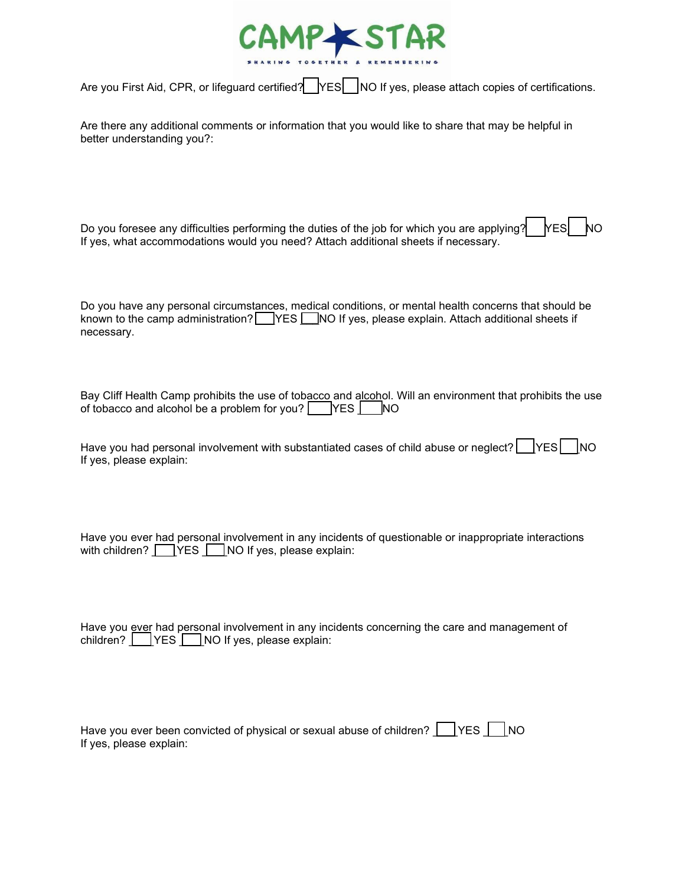

Are you First Aid, CPR, or lifeguard certified? YES NO If yes, please attach copies of certifications.

Are there any additional comments or information that you would like to share that may be helpful in better understanding you?:

Do you foresee any difficulties performing the duties of the job for which you are applying?  $\vert$  YES  $\vert$  NO If yes, what accommodations would you need? Attach additional sheets if necessary.

Do you have any personal circumstances, medical conditions, or mental health concerns that should be known to the camp administration? VES NO If yes, please explain. Attach additional sheets if necessary.

Bay Cliff Health Camp prohibits the use of tobacco and alcohol. Will an environment that prohibits the use of tobacco and alcohol be a problem for you?  $\Box$  YES  $\Box$  NO

Have you had personal involvement with substantiated cases of child abuse or neglect?  $\Box$  YES  $\Box$  NO If yes, please explain:

Have you ever had personal involvement in any incidents of questionable or inappropriate interactions with children?  $\Box$  YES  $\Box$  NO If yes, please explain:

Have you ever had personal involvement in any incidents concerning the care and management of children? **WES** NO If yes, please explain:

| Have you ever been convicted of physical or sexual abuse of children? $\Box$ YES $\Box$ NO |  |  |
|--------------------------------------------------------------------------------------------|--|--|
| If yes, please explain:                                                                    |  |  |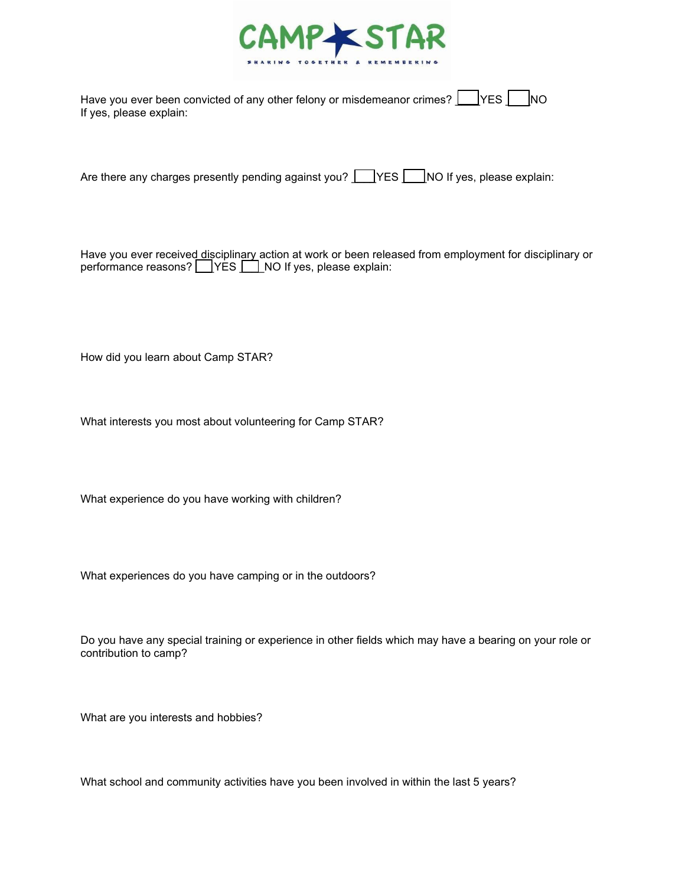

| Have you ever been convicted of any other felony or misdemeanor crimes? $\Box$ YES $\Box$ NO |  |  |
|----------------------------------------------------------------------------------------------|--|--|
| If yes, please explain:                                                                      |  |  |

Are there any charges presently pending against you?  $\Box$  YES  $\Box$  NO If yes, please explain:

Have you ever received<u> di</u>sciplin<u>ary </u>action at work or been released from employment for disciplinary or performance reasons? \_\_\_]YES \_\_\_] NO If yes, please explain:

How did you learn about Camp STAR?

What interests you most about volunteering for Camp STAR?

What experience do you have working with children?

What experiences do you have camping or in the outdoors?

Do you have any special training or experience in other fields which may have a bearing on your role or contribution to camp?

What are you interests and hobbies?

What school and community activities have you been involved in within the last 5 years?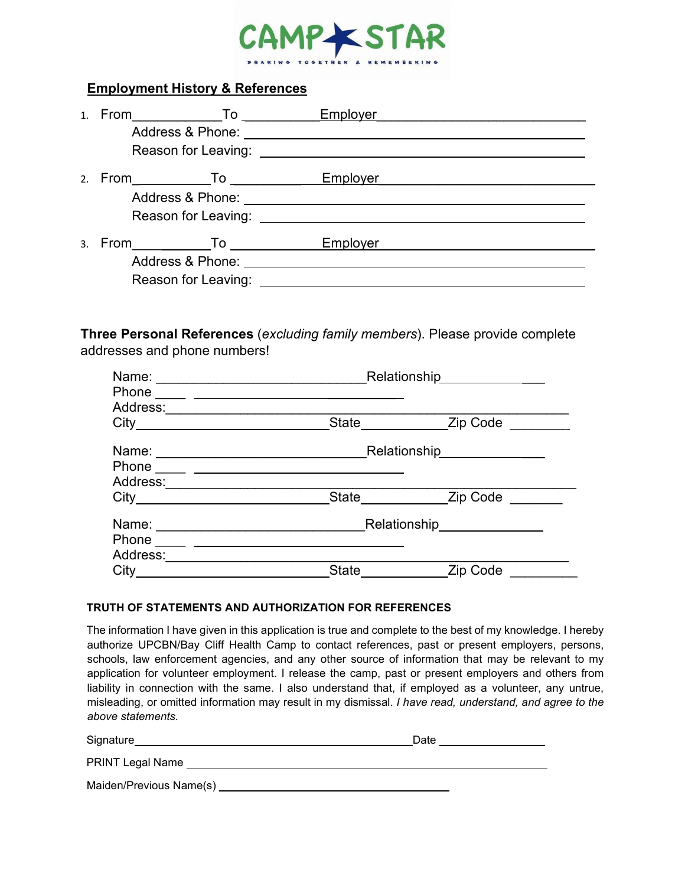

### **Employment History & References**

| $1 \quad$ | From <b>To</b>      | Employer |  |
|-----------|---------------------|----------|--|
|           |                     |          |  |
|           |                     |          |  |
|           |                     | Employer |  |
|           |                     |          |  |
|           | Reason for Leaving: |          |  |
|           | 3. From To          | Employer |  |
|           |                     |          |  |
|           | Reason for Leaving: |          |  |

**Three Personal References** (*excluding family members*). Please provide complete addresses and phone numbers!

| Name:                   | <b>Relationship</b> |                                     |  |  |
|-------------------------|---------------------|-------------------------------------|--|--|
| Phone                   |                     |                                     |  |  |
| Address:                |                     |                                     |  |  |
| $City$ <sub>_____</sub> | State               | Zip Code                            |  |  |
| Name:                   |                     | Relationship<br><u>Relationship</u> |  |  |
| Phone                   |                     |                                     |  |  |
| Address:                |                     |                                     |  |  |
| City                    | <b>State</b>        | Zip Code                            |  |  |
| Name:                   |                     | Relationship Electron Contractor    |  |  |
| Phone                   |                     |                                     |  |  |
| Address:                |                     |                                     |  |  |
| City                    | State               | <b>Zip Code</b>                     |  |  |

#### **TRUTH OF STATEMENTS AND AUTHORIZATION FOR REFERENCES**

The information I have given in this application is true and complete to the best of my knowledge. I hereby authorize UPCBN/Bay Cliff Health Camp to contact references, past or present employers, persons, schools, law enforcement agencies, and any other source of information that may be relevant to my application for volunteer employment. I release the camp, past or present employers and others from liability in connection with the same. I also understand that, if employed as a volunteer, any untrue, misleading, or omitted information may result in my dismissal. *I have read, understand, and agree to the above statements.*

| Signature               | Date |
|-------------------------|------|
| PRINT Legal Name        |      |
| Maiden/Previous Name(s) |      |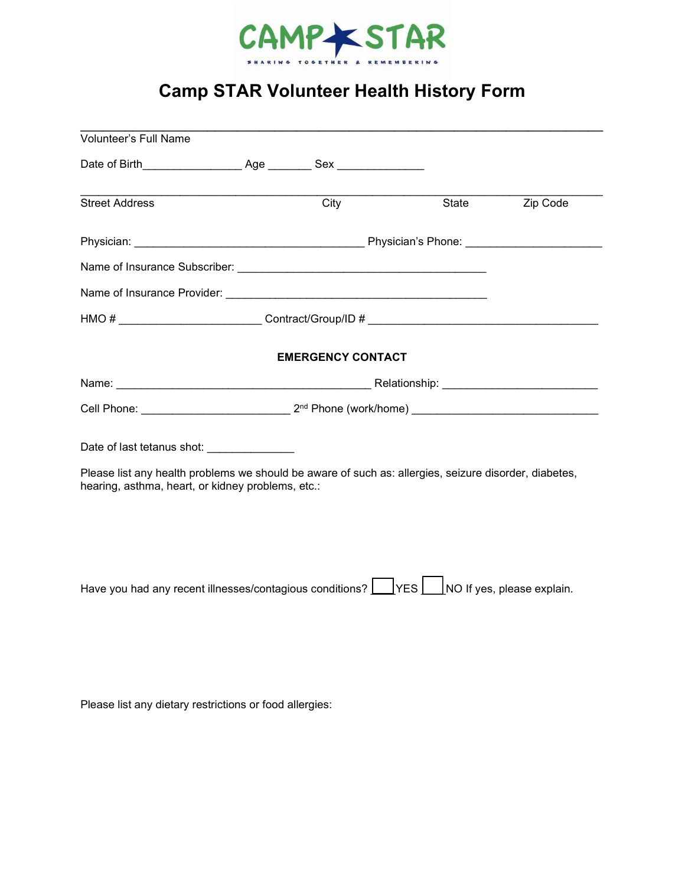

# **Camp STAR Volunteer Health History Form**

\_\_\_\_\_\_\_\_\_\_\_\_\_\_\_\_\_\_\_\_\_\_\_\_\_\_\_\_\_\_\_\_\_\_\_\_\_\_\_\_\_\_\_\_\_\_\_\_\_\_\_\_\_\_\_\_\_\_\_\_\_\_\_\_\_\_\_\_\_\_

| City |                                                                                                 | State                    | Zip Code                                                                                                                                                                                                                                                                                                                                                                                                                                                                                                                                        |
|------|-------------------------------------------------------------------------------------------------|--------------------------|-------------------------------------------------------------------------------------------------------------------------------------------------------------------------------------------------------------------------------------------------------------------------------------------------------------------------------------------------------------------------------------------------------------------------------------------------------------------------------------------------------------------------------------------------|
|      |                                                                                                 |                          |                                                                                                                                                                                                                                                                                                                                                                                                                                                                                                                                                 |
|      |                                                                                                 |                          |                                                                                                                                                                                                                                                                                                                                                                                                                                                                                                                                                 |
|      |                                                                                                 |                          |                                                                                                                                                                                                                                                                                                                                                                                                                                                                                                                                                 |
|      |                                                                                                 |                          |                                                                                                                                                                                                                                                                                                                                                                                                                                                                                                                                                 |
|      |                                                                                                 |                          |                                                                                                                                                                                                                                                                                                                                                                                                                                                                                                                                                 |
|      |                                                                                                 |                          |                                                                                                                                                                                                                                                                                                                                                                                                                                                                                                                                                 |
|      |                                                                                                 |                          |                                                                                                                                                                                                                                                                                                                                                                                                                                                                                                                                                 |
|      |                                                                                                 |                          |                                                                                                                                                                                                                                                                                                                                                                                                                                                                                                                                                 |
|      |                                                                                                 |                          |                                                                                                                                                                                                                                                                                                                                                                                                                                                                                                                                                 |
|      | Date of last tetanus shot: _______________<br>hearing, asthma, heart, or kidney problems, etc.: | <b>EMERGENCY CONTACT</b> | HMO # __________________________Contract/Group/ID # _____________________________<br>Cell Phone: 2 <sup>nd</sup> Phone (work/home) 2001 2008 2009 2009 2010 2010 2010 2011 2012 2014 2016 2017 2018 2019 2010 2011 2012 2014 2016 2017 2018 2019 2017 2018 2019 2010 2011 2012 2016 2017 2018 2019 2017 2018 2019 2019 2011 2<br>Please list any health problems we should be aware of such as: allergies, seizure disorder, diabetes,<br>Have you had any recent illnesses/contagious conditions? $\Box$ YES $\Box$ NO If yes, please explain. |

Please list any dietary restrictions or food allergies: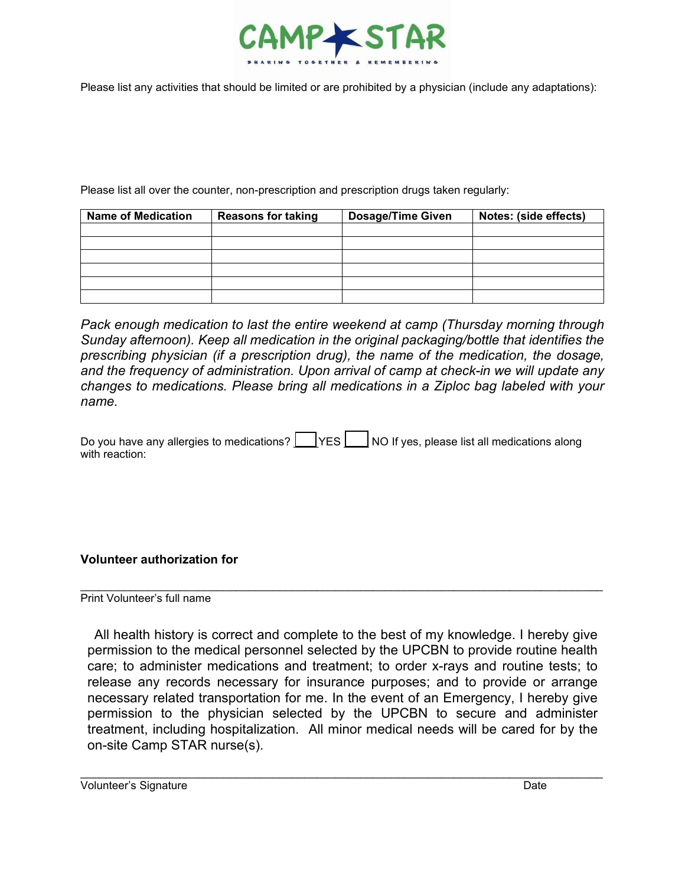

Please list any activities that should be limited or are prohibited by a physician (include any adaptations):

Please list all over the counter, non-prescription and prescription drugs taken regularly:

| <b>Name of Medication</b> | <b>Reasons for taking</b> | <b>Dosage/Time Given</b> | Notes: (side effects) |
|---------------------------|---------------------------|--------------------------|-----------------------|
|                           |                           |                          |                       |
|                           |                           |                          |                       |
|                           |                           |                          |                       |
|                           |                           |                          |                       |
|                           |                           |                          |                       |
|                           |                           |                          |                       |

*Pack enough medication to last the entire weekend at camp (Thursday morning through Sunday afternoon). Keep all medication in the original packaging/bottle that identifies the prescribing physician (if a prescription drug), the name of the medication, the dosage, and the frequency of administration. Upon arrival of camp at check-in we will update any changes to medications. Please bring all medications in a Ziploc bag labeled with your name.*

Do you have any allergies to medications?  $\Box$  YES  $\Box$  NO If yes, please list all medications along with reaction:

**Volunteer authorization for**

Print Volunteer's full name

All health history is correct and complete to the best of my knowledge. I hereby give permission to the medical personnel selected by the UPCBN to provide routine health care; to administer medications and treatment; to order x-rays and routine tests; to release any records necessary for insurance purposes; and to provide or arrange necessary related transportation for me. In the event of an Emergency, I hereby give permission to the physician selected by the UPCBN to secure and administer treatment, including hospitalization. All minor medical needs will be cared for by the on-site Camp STAR nurse(s).

\_\_\_\_\_\_\_\_\_\_\_\_\_\_\_\_\_\_\_\_\_\_\_\_\_\_\_\_\_\_\_\_\_\_\_\_\_\_\_\_\_\_\_\_\_\_\_\_\_\_\_\_\_\_\_\_\_\_\_\_\_\_\_\_\_\_\_\_\_\_\_\_\_\_\_\_\_\_\_\_\_\_\_\_

\_\_\_\_\_\_\_\_\_\_\_\_\_\_\_\_\_\_\_\_\_\_\_\_\_\_\_\_\_\_\_\_\_\_\_\_\_\_\_\_\_\_\_\_\_\_\_\_\_\_\_\_\_\_\_\_\_\_\_\_\_\_\_\_\_\_\_\_\_\_\_\_\_\_\_\_\_\_\_\_\_\_\_\_

Volunteer's Signature Date Date of the United States of the Date Date Date Date Date